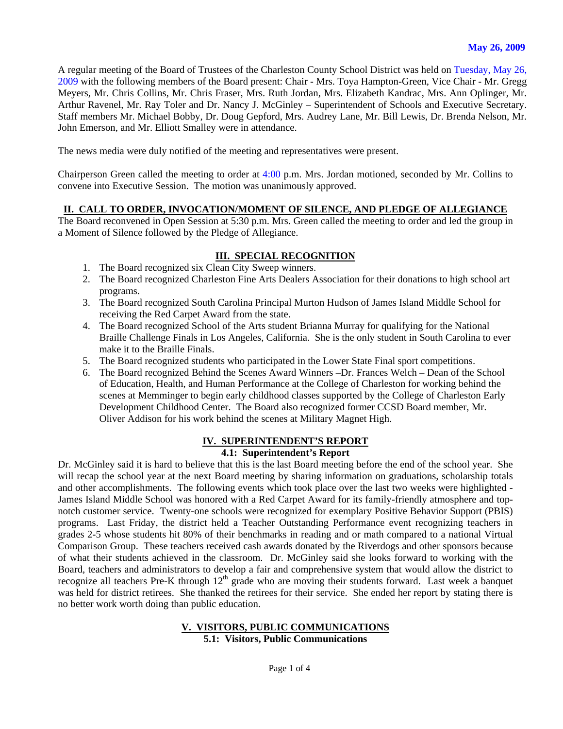A regular meeting of the Board of Trustees of the Charleston County School District was held on Tuesday, May 26, 2009 with the following members of the Board present: Chair - Mrs. Toya Hampton-Green, Vice Chair - Mr. Gregg Meyers, Mr. Chris Collins, Mr. Chris Fraser, Mrs. Ruth Jordan, Mrs. Elizabeth Kandrac, Mrs. Ann Oplinger, Mr. Arthur Ravenel, Mr. Ray Toler and Dr. Nancy J. McGinley – Superintendent of Schools and Executive Secretary. Staff members Mr. Michael Bobby, Dr. Doug Gepford, Mrs. Audrey Lane, Mr. Bill Lewis, Dr. Brenda Nelson, Mr. John Emerson, and Mr. Elliott Smalley were in attendance.

The news media were duly notified of the meeting and representatives were present.

Chairperson Green called the meeting to order at 4:00 p.m. Mrs. Jordan motioned, seconded by Mr. Collins to convene into Executive Session. The motion was unanimously approved.

## **II. CALL TO ORDER, INVOCATION/MOMENT OF SILENCE, AND PLEDGE OF ALLEGIANCE**

The Board reconvened in Open Session at 5:30 p.m. Mrs. Green called the meeting to order and led the group in a Moment of Silence followed by the Pledge of Allegiance.

#### **III. SPECIAL RECOGNITION**

- 1. The Board recognized six Clean City Sweep winners.
- 2. The Board recognized Charleston Fine Arts Dealers Association for their donations to high school art programs.
- 3. The Board recognized South Carolina Principal Murton Hudson of James Island Middle School for receiving the Red Carpet Award from the state.
- 4. The Board recognized School of the Arts student Brianna Murray for qualifying for the National Braille Challenge Finals in Los Angeles, California. She is the only student in South Carolina to ever make it to the Braille Finals.
- 5. The Board recognized students who participated in the Lower State Final sport competitions.
- 6. The Board recognized Behind the Scenes Award Winners –Dr. Frances Welch Dean of the School of Education, Health, and Human Performance at the College of Charleston for working behind the scenes at Memminger to begin early childhood classes supported by the College of Charleston Early Development Childhood Center. The Board also recognized former CCSD Board member, Mr. Oliver Addison for his work behind the scenes at Military Magnet High.

## **IV. SUPERINTENDENT'S REPORT**

#### **4.1: Superintendent's Report**

Dr. McGinley said it is hard to believe that this is the last Board meeting before the end of the school year. She will recap the school year at the next Board meeting by sharing information on graduations, scholarship totals and other accomplishments. The following events which took place over the last two weeks were highlighted - James Island Middle School was honored with a Red Carpet Award for its family-friendly atmosphere and topnotch customer service. Twenty-one schools were recognized for exemplary Positive Behavior Support (PBIS) programs. Last Friday, the district held a Teacher Outstanding Performance event recognizing teachers in grades 2-5 whose students hit 80% of their benchmarks in reading and or math compared to a national Virtual Comparison Group. These teachers received cash awards donated by the Riverdogs and other sponsors because of what their students achieved in the classroom. Dr. McGinley said she looks forward to working with the Board, teachers and administrators to develop a fair and comprehensive system that would allow the district to recognize all teachers Pre-K through 12<sup>th</sup> grade who are moving their students forward. Last week a banquet was held for district retirees. She thanked the retirees for their service. She ended her report by stating there is no better work worth doing than public education.

#### **V. VISITORS, PUBLIC COMMUNICATIONS 5.1: Visitors, Public Communications**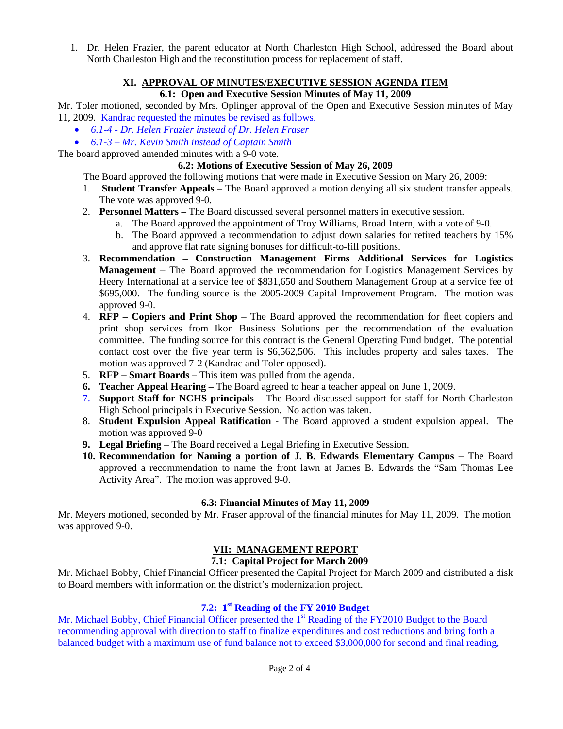1. Dr. Helen Frazier, the parent educator at North Charleston High School, addressed the Board about North Charleston High and the reconstitution process for replacement of staff.

#### **XI. APPROVAL OF MINUTES/EXECUTIVE SESSION AGENDA ITEM**

## **6.1: Open and Executive Session Minutes of May 11, 2009**

Mr. Toler motioned, seconded by Mrs. Oplinger approval of the Open and Executive Session minutes of May 11, 2009. Kandrac requested the minutes be revised as follows.

- *6.1-4 Dr. Helen Frazier instead of Dr. Helen Fraser*
- *6.1-3 Mr. Kevin Smith instead of Captain Smith*

The board approved amended minutes with a 9-0 vote.

#### **6.2: Motions of Executive Session of May 26, 2009**

The Board approved the following motions that were made in Executive Session on Mary 26, 2009:

- 1. **Student Transfer Appeals** The Board approved a motion denying all six student transfer appeals. The vote was approved 9-0.
- 2. **Personnel Matters** The Board discussed several personnel matters in executive session.
	- a. The Board approved the appointment of Troy Williams, Broad Intern, with a vote of 9-0.
	- b. The Board approved a recommendation to adjust down salaries for retired teachers by 15% and approve flat rate signing bonuses for difficult-to-fill positions.
- 3. **Recommendation Construction Management Firms Additional Services for Logistics Management** – The Board approved the recommendation for Logistics Management Services by Heery International at a service fee of \$831,650 and Southern Management Group at a service fee of \$695,000. The funding source is the 2005-2009 Capital Improvement Program. The motion was approved 9-0.
- 4. **RFP Copiers and Print Shop** The Board approved the recommendation for fleet copiers and print shop services from Ikon Business Solutions per the recommendation of the evaluation committee. The funding source for this contract is the General Operating Fund budget. The potential contact cost over the five year term is \$6,562,506. This includes property and sales taxes. The motion was approved 7-2 (Kandrac and Toler opposed).
- 5. **RFP Smart Boards** This item was pulled from the agenda.
- **6. Teacher Appeal Hearing** The Board agreed to hear a teacher appeal on June 1, 2009.
- 7. **Support Staff for NCHS principals** The Board discussed support for staff for North Charleston High School principals in Executive Session. No action was taken.
- 8. **Student Expulsion Appeal Ratification** The Board approved a student expulsion appeal. The motion was approved 9-0
- **9. Legal Briefing**  The Board received a Legal Briefing in Executive Session.
- **10. Recommendation for Naming a portion of J. B. Edwards Elementary Campus** The Board approved a recommendation to name the front lawn at James B. Edwards the "Sam Thomas Lee Activity Area". The motion was approved 9-0.

## **6.3: Financial Minutes of May 11, 2009**

Mr. Meyers motioned, seconded by Mr. Fraser approval of the financial minutes for May 11, 2009. The motion was approved 9-0.

# **VII: MANAGEMENT REPORT**

## **7.1: Capital Project for March 2009**

Mr. Michael Bobby, Chief Financial Officer presented the Capital Project for March 2009 and distributed a disk to Board members with information on the district's modernization project.

## **7.2: 1st Reading of the FY 2010 Budget**

Mr. Michael Bobby, Chief Financial Officer presented the 1<sup>st</sup> Reading of the FY2010 Budget to the Board recommending approval with direction to staff to finalize expenditures and cost reductions and bring forth a balanced budget with a maximum use of fund balance not to exceed \$3,000,000 for second and final reading,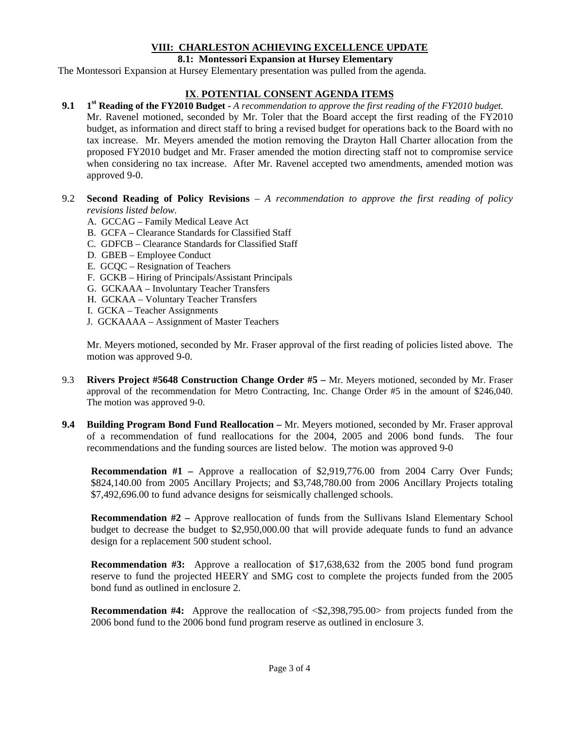# **VIII: CHARLESTON ACHIEVING EXCELLENCE UPDATE**

#### **8.1: Montessori Expansion at Hursey Elementary**

The Montessori Expansion at Hursey Elementary presentation was pulled from the agenda.

# **IX**. **POTENTIAL CONSENT AGENDA ITEMS**

- **9.1 1st Reading of the FY2010 Budget** *A recommendation to approve the first reading of the FY2010 budget.* Mr. Ravenel motioned, seconded by Mr. Toler that the Board accept the first reading of the FY2010 budget, as information and direct staff to bring a revised budget for operations back to the Board with no tax increase. Mr. Meyers amended the motion removing the Drayton Hall Charter allocation from the proposed FY2010 budget and Mr. Fraser amended the motion directing staff not to compromise service when considering no tax increase. After Mr. Ravenel accepted two amendments, amended motion was approved 9-0.
- 9.2 **Second Reading of Policy Revisions** *A recommendation to approve the first reading of policy revisions listed below.*
	- A. GCCAG Family Medical Leave Act
	- B. GCFA Clearance Standards for Classified Staff
	- C. GDFCB Clearance Standards for Classified Staff
	- D. GBEB Employee Conduct
	- E. GCQC Resignation of Teachers
	- F. GCKB Hiring of Principals/Assistant Principals
	- G. GCKAAA Involuntary Teacher Transfers
	- H. GCKAA Voluntary Teacher Transfers
	- I. GCKA Teacher Assignments
	- J. GCKAAAA Assignment of Master Teachers

Mr. Meyers motioned, seconded by Mr. Fraser approval of the first reading of policies listed above. The motion was approved 9-0.

- 9.3 **Rivers Project #5648 Construction Change Order #5** Mr. Meyers motioned, seconded by Mr. Fraser approval of the recommendation for Metro Contracting, Inc. Change Order #5 in the amount of \$246,040. The motion was approved 9-0.
- **9.4 Building Program Bond Fund Reallocation** Mr. Meyers motioned, seconded by Mr. Fraser approval of a recommendation of fund reallocations for the 2004, 2005 and 2006 bond funds. The four recommendations and the funding sources are listed below. The motion was approved 9-0

**Recommendation #1 – Approve a reallocation of \$2,919,776.00 from 2004 Carry Over Funds;** \$824,140.00 from 2005 Ancillary Projects; and \$3,748,780.00 from 2006 Ancillary Projects totaling \$7,492,696.00 to fund advance designs for seismically challenged schools.

**Recommendation #2 – Approve reallocation of funds from the Sullivans Island Elementary School** budget to decrease the budget to \$2,950,000.00 that will provide adequate funds to fund an advance design for a replacement 500 student school.

**Recommendation #3:** Approve a reallocation of \$17,638,632 from the 2005 bond fund program reserve to fund the projected HEERY and SMG cost to complete the projects funded from the 2005 bond fund as outlined in enclosure 2.

**Recommendation #4:** Approve the reallocation of  $\leq 2,398,795.00>$  from projects funded from the 2006 bond fund to the 2006 bond fund program reserve as outlined in enclosure 3.